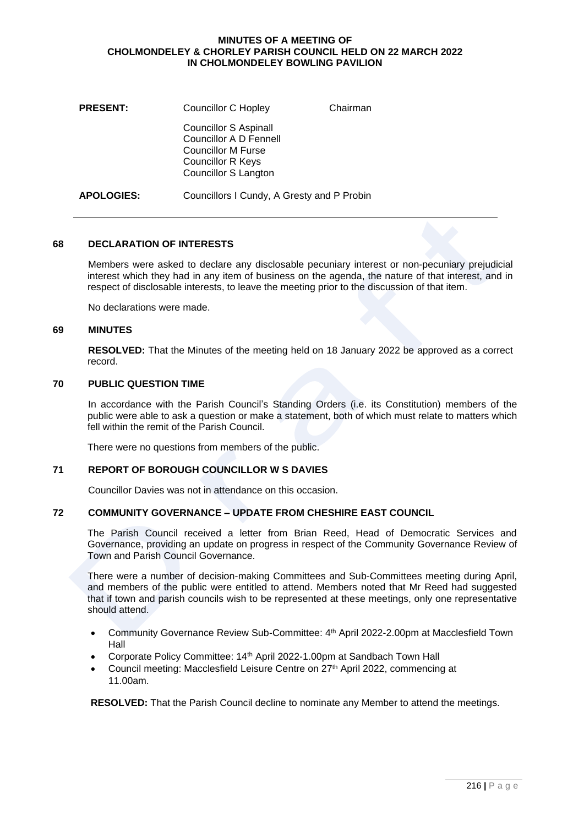### **MINUTES OF A MEETING OF CHOLMONDELEY & CHORLEY PARISH COUNCIL HELD ON 22 MARCH 2022 IN CHOLMONDELEY BOWLING PAVILION**

| <b>PRESENT:</b>   | <b>Councillor C Hopley</b>                                                                                                | Chairman |
|-------------------|---------------------------------------------------------------------------------------------------------------------------|----------|
|                   | <b>Councillor S Aspinall</b><br>Councillor A D Fennell<br>Councillor M Furse<br>Councillor R Keys<br>Councillor S Langton |          |
| <b>APOLOGIES:</b> | Councillors I Cundy, A Gresty and P Probin                                                                                |          |

## **68 DECLARATION OF INTERESTS**

Members were asked to declare any disclosable pecuniary interest or non-pecuniary prejudicial interest which they had in any item of business on the agenda, the nature of that interest, and in respect of disclosable interests, to leave the meeting prior to the discussion of that item.

No declarations were made.

### **69 MINUTES**

**RESOLVED:** That the Minutes of the meeting held on 18 January 2022 be approved as a correct record.

## **70 PUBLIC QUESTION TIME**

In accordance with the Parish Council's Standing Orders (i.e. its Constitution) members of the public were able to ask a question or make a statement, both of which must relate to matters which fell within the remit of the Parish Council.

There were no questions from members of the public.

### **71 REPORT OF BOROUGH COUNCILLOR W S DAVIES**

Councillor Davies was not in attendance on this occasion.

### **72 COMMUNITY GOVERNANCE – UPDATE FROM CHESHIRE EAST COUNCIL**

The Parish Council received a letter from Brian Reed, Head of Democratic Services and Governance, providing an update on progress in respect of the Community Governance Review of Town and Parish Council Governance.

There were a number of decision-making Committees and Sub-Committees meeting during April, and members of the public were entitled to attend. Members noted that Mr Reed had suggested that if town and parish councils wish to be represented at these meetings, only one representative should attend.

- Community Governance Review Sub-Committee: 4th April 2022-2.00pm at Macclesfield Town Hall
- Corporate Policy Committee: 14th April 2022-1.00pm at Sandbach Town Hall
- Council meeting: Macclesfield Leisure Centre on 27th April 2022, commencing at 11.00am.

**RESOLVED:** That the Parish Council decline to nominate any Member to attend the meetings.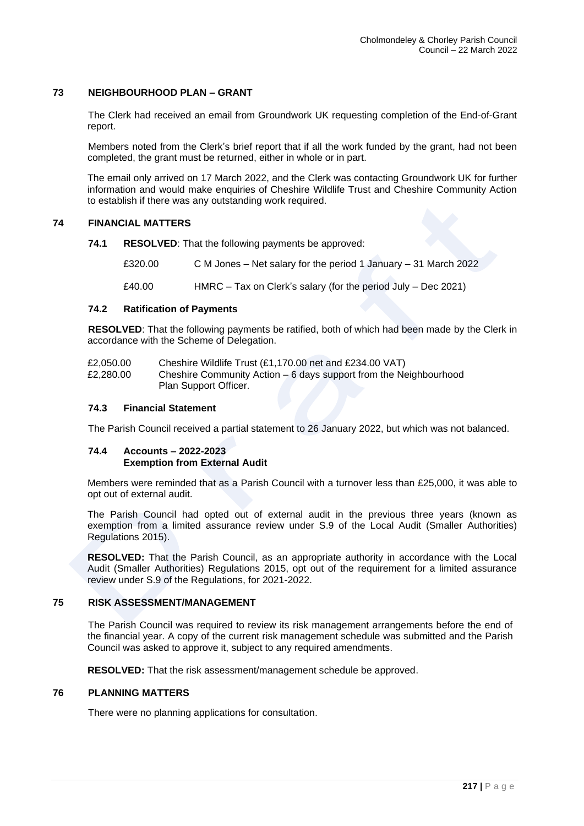## **73 NEIGHBOURHOOD PLAN – GRANT**

The Clerk had received an email from Groundwork UK requesting completion of the End-of-Grant report.

Members noted from the Clerk's brief report that if all the work funded by the grant, had not been completed, the grant must be returned, either in whole or in part.

The email only arrived on 17 March 2022, and the Clerk was contacting Groundwork UK for further information and would make enquiries of Cheshire Wildlife Trust and Cheshire Community Action to establish if there was any outstanding work required.

### **74 FINANCIAL MATTERS**

- **74.1 RESOLVED**: That the following payments be approved:
	- £320.00 C M Jones Net salary for the period 1 January 31 March 2022
	- £40.00 HMRC Tax on Clerk's salary (for the period July Dec 2021)

# **74.2 Ratification of Payments**

**RESOLVED**: That the following payments be ratified, both of which had been made by the Clerk in accordance with the Scheme of Delegation.

| £2,050.00 | Cheshire Wildlife Trust (£1,170.00 net and £234.00 VAT)           |
|-----------|-------------------------------------------------------------------|
| £2,280.00 | Cheshire Community Action – 6 days support from the Neighbourhood |
|           | Plan Support Officer.                                             |

### **74.3 Financial Statement**

The Parish Council received a partial statement to 26 January 2022, but which was not balanced.

### **74.4 Accounts – 2022-2023 Exemption from External Audit**

Members were reminded that as a Parish Council with a turnover less than £25,000, it was able to opt out of external audit.

The Parish Council had opted out of external audit in the previous three years (known as exemption from a limited assurance review under S.9 of the Local Audit (Smaller Authorities) Regulations 2015).

**RESOLVED:** That the Parish Council, as an appropriate authority in accordance with the Local Audit (Smaller Authorities) Regulations 2015, opt out of the requirement for a limited assurance review under S.9 of the Regulations, for 2021-2022.

### **75 RISK ASSESSMENT/MANAGEMENT**

The Parish Council was required to review its risk management arrangements before the end of the financial year. A copy of the current risk management schedule was submitted and the Parish Council was asked to approve it, subject to any required amendments.

**RESOLVED:** That the risk assessment/management schedule be approved.

# **76 PLANNING MATTERS**

There were no planning applications for consultation.